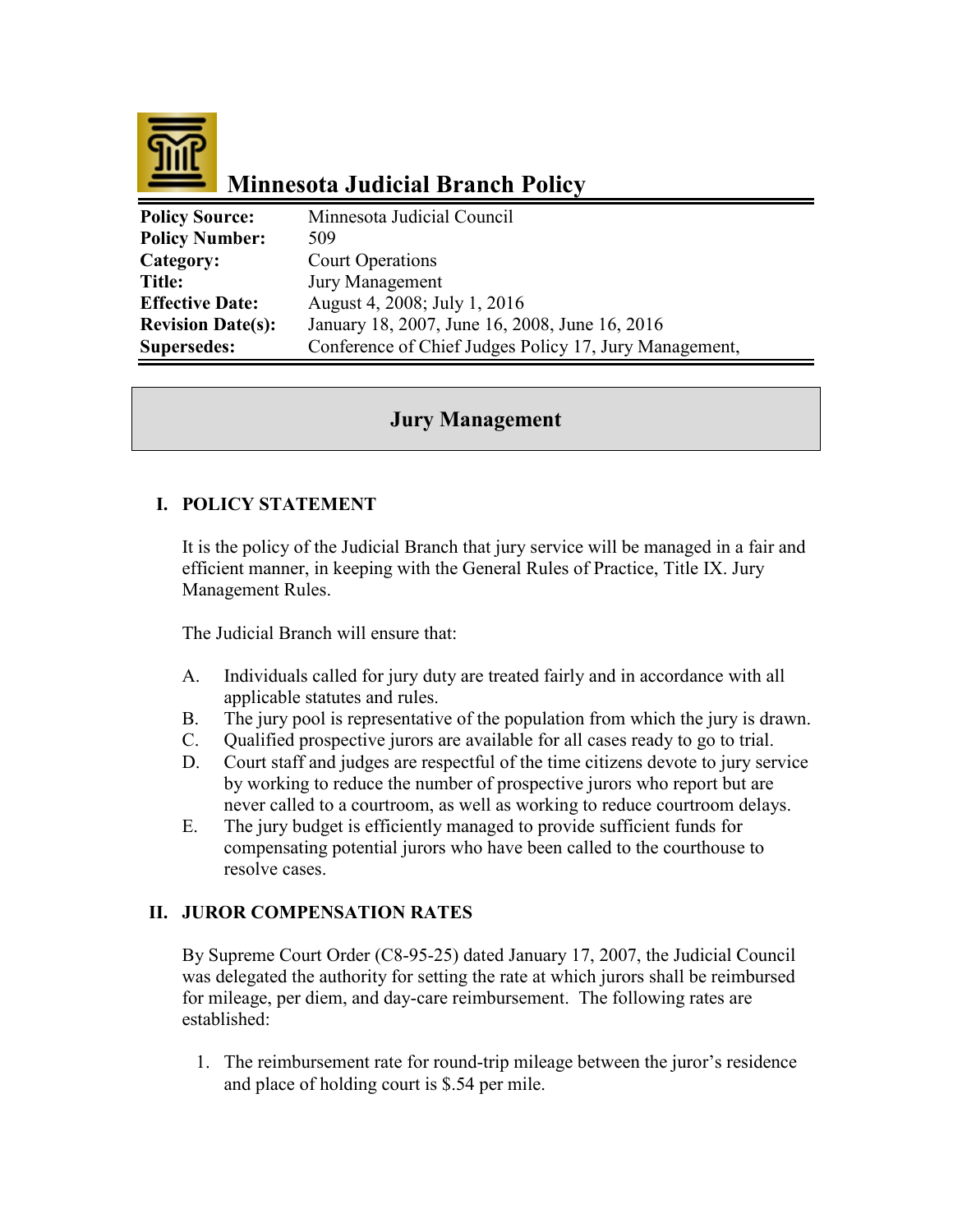

# **Minnesota Judicial Branch Policy**

| <b>Policy Source:</b>    | Minnesota Judicial Council                             |
|--------------------------|--------------------------------------------------------|
| <b>Policy Number:</b>    | 509                                                    |
| Category:                | <b>Court Operations</b>                                |
| Title:                   | <b>Jury Management</b>                                 |
| <b>Effective Date:</b>   | August 4, 2008; July 1, 2016                           |
| <b>Revision Date(s):</b> | January 18, 2007, June 16, 2008, June 16, 2016         |
| <b>Supersedes:</b>       | Conference of Chief Judges Policy 17, Jury Management, |

# **Jury Management**

## **I. POLICY STATEMENT**

It is the policy of the Judicial Branch that jury service will be managed in a fair and efficient manner, in keeping with the General Rules of Practice, Title IX. Jury Management Rules.

The Judicial Branch will ensure that:

- A. Individuals called for jury duty are treated fairly and in accordance with all applicable statutes and rules.
- B. The jury pool is representative of the population from which the jury is drawn.
- C. Qualified prospective jurors are available for all cases ready to go to trial.
- D. Court staff and judges are respectful of the time citizens devote to jury service by working to reduce the number of prospective jurors who report but are never called to a courtroom, as well as working to reduce courtroom delays.
- E. The jury budget is efficiently managed to provide sufficient funds for compensating potential jurors who have been called to the courthouse to resolve cases.

### **II. JUROR COMPENSATION RATES**

By Supreme Court Order (C8-95-25) dated January 17, 2007, the Judicial Council was delegated the authority for setting the rate at which jurors shall be reimbursed for mileage, per diem, and day-care reimbursement. The following rates are established:

1. The reimbursement rate for round-trip mileage between the juror's residence and place of holding court is \$.54 per mile.